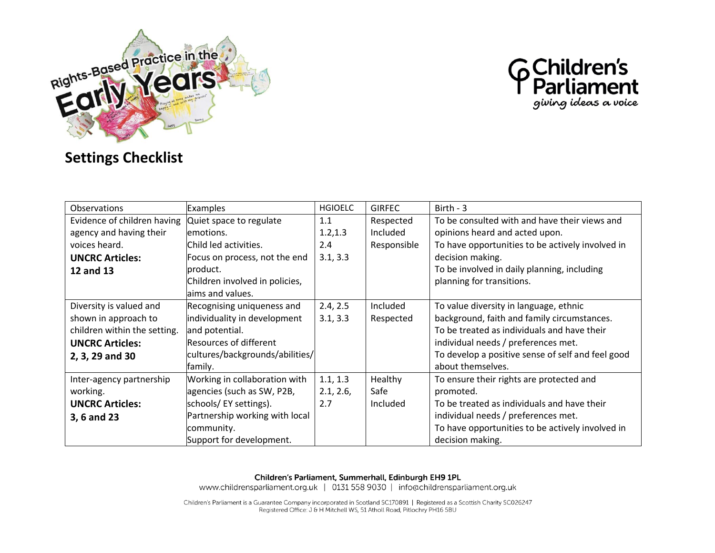



## **Settings Checklist**

| <b>Observations</b>          | <b>Examples</b>                 | <b>HGIOELC</b> | <b>GIRFEC</b> | Birth - $3$                                       |
|------------------------------|---------------------------------|----------------|---------------|---------------------------------------------------|
| Evidence of children having  | Quiet space to regulate         | 1.1            | Respected     | To be consulted with and have their views and     |
| agency and having their      | emotions.                       | 1.2, 1.3       | Included      | opinions heard and acted upon.                    |
| voices heard.                | Child led activities.           | 2.4            | Responsible   | To have opportunities to be actively involved in  |
| <b>UNCRC Articles:</b>       | Focus on process, not the end   | 3.1, 3.3       |               | decision making.                                  |
| 12 and 13                    | product.                        |                |               | To be involved in daily planning, including       |
|                              | Children involved in policies,  |                |               | planning for transitions.                         |
|                              | laims and values.               |                |               |                                                   |
| Diversity is valued and      | Recognising uniqueness and      | 2.4, 2.5       | Included      | To value diversity in language, ethnic            |
| shown in approach to         | individuality in development    | 3.1, 3.3       | Respected     | background, faith and family circumstances.       |
| children within the setting. | and potential.                  |                |               | To be treated as individuals and have their       |
| <b>UNCRC Articles:</b>       | Resources of different          |                |               | individual needs / preferences met.               |
| 2, 3, 29 and 30              | cultures/backgrounds/abilities/ |                |               | To develop a positive sense of self and feel good |
|                              | family.                         |                |               | about themselves.                                 |
| Inter-agency partnership     | Working in collaboration with   | 1.1, 1.3       | Healthy       | To ensure their rights are protected and          |
| working.                     | agencies (such as SW, P2B,      | 2.1, 2.6,      | Safe          | promoted.                                         |
| <b>UNCRC Articles:</b>       | schools/EY settings).           | 2.7            | Included      | To be treated as individuals and have their       |
| 3, 6 and 23                  | Partnership working with local  |                |               | individual needs / preferences met.               |
|                              | community.                      |                |               | To have opportunities to be actively involved in  |
|                              | Support for development.        |                |               | decision making.                                  |

Children's Parliament, Summerhall, Edinburgh EH9 1PL

www.childrensparliament.org.uk | 0131 558 9030 | info@childrensparliament.org.uk

Children's Parliament is a Guarantee Company incorporated in Scotland SC170891 | Registered as a Scottish Charity SC026247 Registered Office: J & H Mitchell WS, 51 Atholl Road, Pitlochry PH16 5BU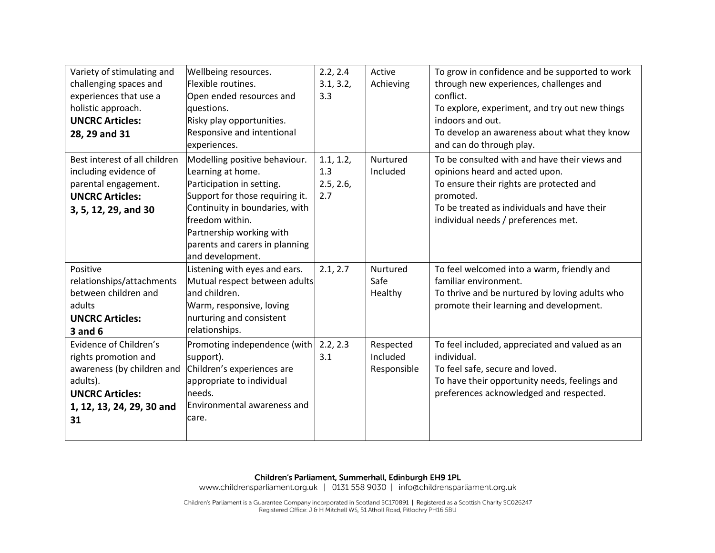| Variety of stimulating and<br>challenging spaces and<br>experiences that use a<br>holistic approach.<br><b>UNCRC Articles:</b><br>28, 29 and 31       | Wellbeing resources.<br>Flexible routines.<br>Open ended resources and<br>questions.<br>Risky play opportunities.<br><b>Responsive and intentional</b><br>experiences.                                                                                    | 2.2, 2.4<br>3.1, 3.2,<br>3.3         | Active<br>Achieving                  | To grow in confidence and be supported to work<br>through new experiences, challenges and<br>conflict.<br>To explore, experiment, and try out new things<br>indoors and out.<br>To develop an awareness about what they know<br>and can do through play. |
|-------------------------------------------------------------------------------------------------------------------------------------------------------|-----------------------------------------------------------------------------------------------------------------------------------------------------------------------------------------------------------------------------------------------------------|--------------------------------------|--------------------------------------|----------------------------------------------------------------------------------------------------------------------------------------------------------------------------------------------------------------------------------------------------------|
| Best interest of all children<br>including evidence of<br>parental engagement.<br><b>UNCRC Articles:</b><br>3, 5, 12, 29, and 30                      | Modelling positive behaviour.<br>Learning at home.<br>Participation in setting.<br>Support for those requiring it.<br>Continuity in boundaries, with<br>freedom within.<br>Partnership working with<br>parents and carers in planning<br>and development. | 1.1, 1.2,<br>1.3<br>2.5, 2.6,<br>2.7 | Nurtured<br>Included                 | To be consulted with and have their views and<br>opinions heard and acted upon.<br>To ensure their rights are protected and<br>promoted.<br>To be treated as individuals and have their<br>individual needs / preferences met.                           |
| Positive<br>relationships/attachments<br>between children and<br>adults<br><b>UNCRC Articles:</b><br>$3$ and $6$                                      | Listening with eyes and ears.<br>Mutual respect between adults<br>and children.<br>Warm, responsive, loving<br>nurturing and consistent<br>relationships.                                                                                                 | 2.1, 2.7                             | Nurtured<br>Safe<br>Healthy          | To feel welcomed into a warm, friendly and<br>familiar environment.<br>To thrive and be nurtured by loving adults who<br>promote their learning and development.                                                                                         |
| Evidence of Children's<br>rights promotion and<br>awareness (by children and<br>adults).<br><b>UNCRC Articles:</b><br>1, 12, 13, 24, 29, 30 and<br>31 | Promoting independence (with<br>support).<br>Children's experiences are<br>appropriate to individual<br>needs.<br>Environmental awareness and<br>care.                                                                                                    | 2.2, 2.3<br>3.1                      | Respected<br>Included<br>Responsible | To feel included, appreciated and valued as an<br>individual.<br>To feel safe, secure and loved.<br>To have their opportunity needs, feelings and<br>preferences acknowledged and respected.                                                             |

**Children's Parliament, Summerhall, Edinburgh EH9 1PL**<br>www.childrensparliament.org.uk | 0131 558 9030 | info@childrensparliament.org.uk

Children's Parliament is a Guarantee Company incorporated in Scotland SC170891 | Registered as a Scottish Charity SC026247<br>Registered Office: J & H Mitchell WS, 51 Atholl Road, Pitlochry PH16 5BU